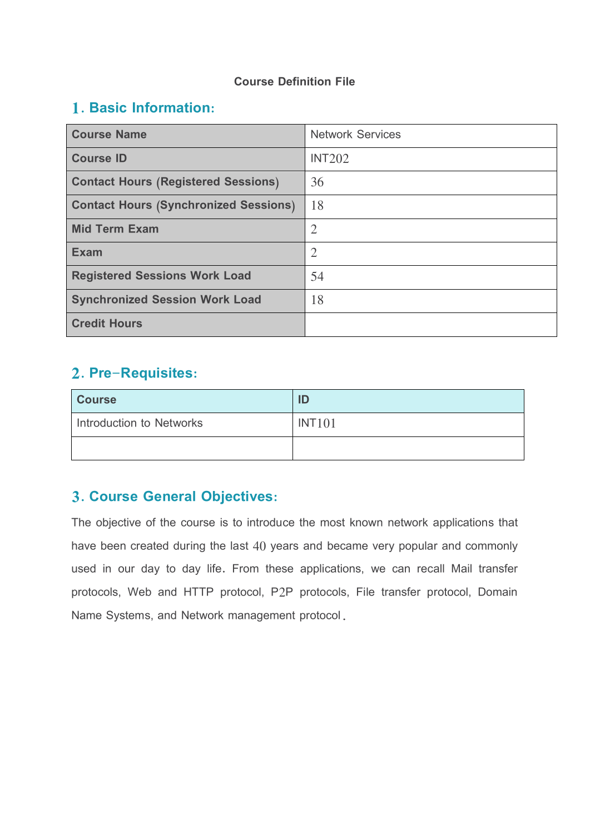#### **Course Definition File**

### **1. Basic Information:**

| <b>Course Name</b>                           | <b>Network Services</b> |
|----------------------------------------------|-------------------------|
| <b>Course ID</b>                             | INT202                  |
| <b>Contact Hours (Registered Sessions)</b>   | 36                      |
| <b>Contact Hours (Synchronized Sessions)</b> | 18                      |
| <b>Mid Term Exam</b>                         | $\overline{2}$          |
| <b>Exam</b>                                  | $\overline{2}$          |
| <b>Registered Sessions Work Load</b>         | 54                      |
| <b>Synchronized Session Work Load</b>        | 18                      |
| <b>Credit Hours</b>                          |                         |

### **2. Pre-Requisites:**

| <b>Course</b>            | ID     |
|--------------------------|--------|
| Introduction to Networks | INT101 |
|                          |        |

### **3. Course General Objectives:**

The objective of the course is to introduce the most known network applications that have been created during the last 40 years and became very popular and commonly used in our day to day life. From these applications, we can recall Mail transfer protocols, Web and HTTP protocol, P2P protocols, File transfer protocol, Domain Name Systems, and Network management protocol.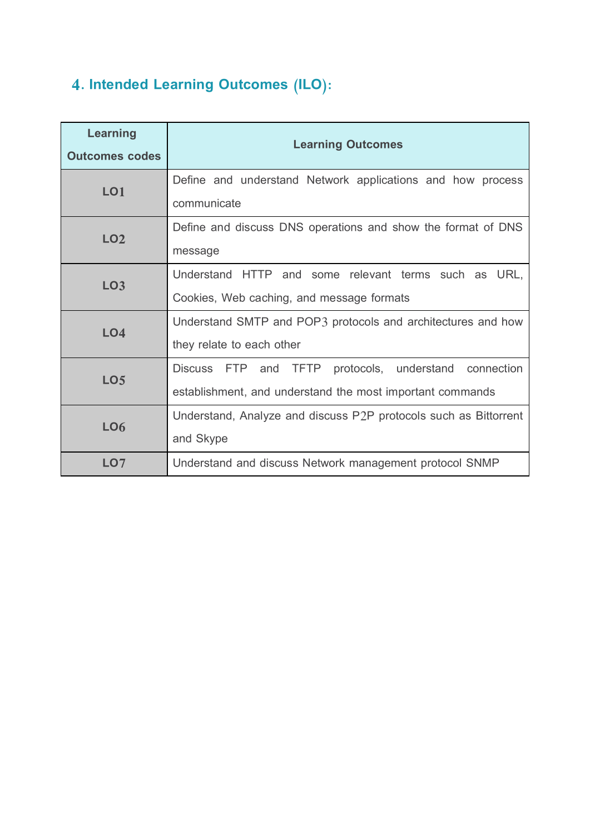# **4. Intended Learning Outcomes (ILO):**

| <b>Learning</b><br><b>Outcomes codes</b> | <b>Learning Outcomes</b>                                                                                                              |
|------------------------------------------|---------------------------------------------------------------------------------------------------------------------------------------|
| LO <sub>1</sub>                          | Define and understand Network applications and how process<br>communicate                                                             |
| <b>LO2</b>                               | Define and discuss DNS operations and show the format of DNS<br>message                                                               |
| <b>LO3</b>                               | Understand HTTP and some relevant terms such as URL,<br>Cookies, Web caching, and message formats                                     |
| LO <sub>4</sub>                          | Understand SMTP and POP3 protocols and architectures and how<br>they relate to each other                                             |
| LO <sub>5</sub>                          | Discuss FTP<br><b>TFTP</b><br>protocols, understand<br>and<br>connection<br>establishment, and understand the most important commands |
| <b>LO6</b>                               | Understand, Analyze and discuss P2P protocols such as Bittorrent<br>and Skype                                                         |
| LO <sub>7</sub>                          | Understand and discuss Network management protocol SNMP                                                                               |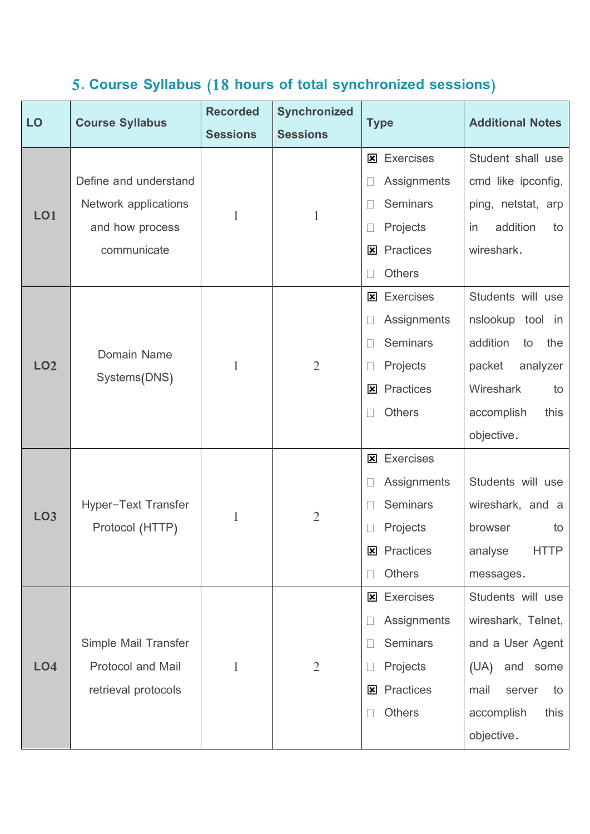## **5. Course Syllabus (18 hours of total synchronized sessions)**

| LO              | <b>Course Syllabus</b>                 | <b>Recorded</b> | <b>Synchronized</b> | <b>Type</b>           | <b>Additional Notes</b> |
|-----------------|----------------------------------------|-----------------|---------------------|-----------------------|-------------------------|
|                 |                                        | <b>Sessions</b> | <b>Sessions</b>     |                       |                         |
|                 |                                        |                 |                     | <b>Exercises</b><br>図 | Student shall use       |
|                 | Define and understand                  |                 |                     | Assignments           | cmd like ipconfig,      |
| <b>LO1</b>      | Network applications                   | 1               | $\mathbf 1$         | <b>Seminars</b>       | ping, netstat, arp      |
|                 | and how process                        |                 |                     | Projects              | addition<br>to<br>in    |
|                 | communicate                            |                 |                     | Practices<br>図        | wireshark.              |
|                 |                                        |                 |                     | Others                |                         |
|                 |                                        |                 |                     | <b>Exercises</b><br>図 | Students will use       |
|                 |                                        |                 |                     | Assignments           | nslookup<br>tool in     |
|                 | Domain Name                            |                 |                     | <b>Seminars</b>       | addition<br>the<br>to   |
| <b>LO2</b>      | Systems(DNS)                           | 1               | $\overline{2}$      | Projects              | analyzer<br>packet      |
|                 |                                        |                 |                     | Practices<br>図        | Wireshark<br>to         |
|                 |                                        |                 |                     | <b>Others</b>         | accomplish<br>this      |
|                 |                                        |                 |                     |                       | objective.              |
|                 |                                        |                 |                     | <b>Exercises</b><br>図 |                         |
|                 |                                        | 1               |                     | Assignments           | Students will use       |
| <b>LO3</b>      | Hyper-Text Transfer<br>Protocol (HTTP) |                 | $\overline{2}$      | <b>Seminars</b>       | wireshark, and a        |
|                 |                                        |                 |                     | Projects              | browser<br>to           |
|                 |                                        |                 |                     | Practices<br>図        | <b>HTTP</b><br>analyse  |
|                 |                                        |                 |                     | <b>Others</b>         | messages.               |
|                 |                                        |                 |                     | <b>Exercises</b><br>⊠ | Students will use       |
|                 |                                        |                 |                     | Assignments           | wireshark, Telnet,      |
|                 | Simple Mail Transfer                   |                 |                     | Seminars              | and a User Agent        |
| LO <sub>4</sub> | <b>Protocol and Mail</b>               | 1               | $\overline{2}$      | Projects              | (UA)<br>and<br>some     |
|                 | retrieval protocols                    |                 |                     | Practices<br>⊠        | mail<br>server<br>to    |
|                 |                                        |                 |                     | <b>Others</b>         | accomplish<br>this      |
|                 |                                        |                 |                     |                       | objective.              |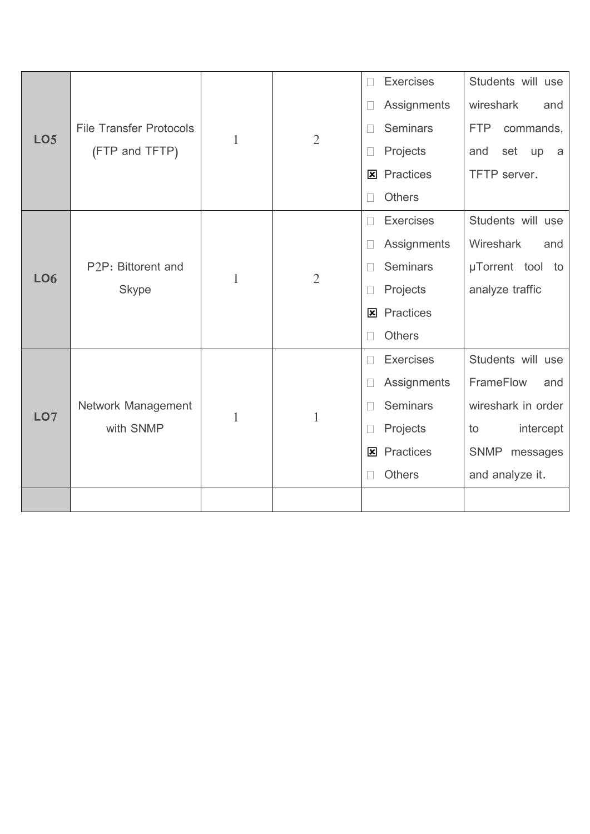|                 |                                                               |              |                | п            | <b>Exercises</b> | Students will use       |
|-----------------|---------------------------------------------------------------|--------------|----------------|--------------|------------------|-------------------------|
|                 |                                                               |              |                | П            | Assignments      | wireshark<br>and        |
|                 | <b>File Transfer Protocols</b>                                |              | $\overline{2}$ |              | <b>Seminars</b>  | <b>FTP</b><br>commands, |
| LO <sub>5</sub> | (FTP and TFTP)                                                | $\mathbf{1}$ |                |              | Projects         | and<br>set<br>up<br>a   |
|                 |                                                               |              |                | 図            | Practices        | TFTP server.            |
|                 |                                                               |              |                |              | <b>Others</b>    |                         |
|                 |                                                               |              |                | $\mathbf{L}$ | <b>Exercises</b> | Students will use       |
|                 | P <sub>2</sub> P: Bittorent and<br><b>LO6</b><br><b>Skype</b> |              |                |              | Assignments      | Wireshark<br>and        |
|                 |                                                               | 1            | $\overline{2}$ |              | <b>Seminars</b>  | µTorrent tool to        |
|                 |                                                               |              |                |              | Projects         | analyze traffic         |
|                 |                                                               |              |                | 図            | Practices        |                         |
|                 |                                                               |              |                |              | <b>Others</b>    |                         |
|                 |                                                               |              |                |              | <b>Exercises</b> | Students will use       |
|                 |                                                               | 1            |                |              | Assignments      | FrameFlow<br>and        |
| LO7             | Network Management                                            |              | $\mathbf{1}$   |              | <b>Seminars</b>  | wireshark in order      |
|                 | with SNMP                                                     |              |                |              | Projects         | intercept<br>to         |
|                 |                                                               |              |                | ⊠            | Practices        | SNMP<br>messages        |
|                 |                                                               |              |                |              | <b>Others</b>    | and analyze it.         |
|                 |                                                               |              |                |              |                  |                         |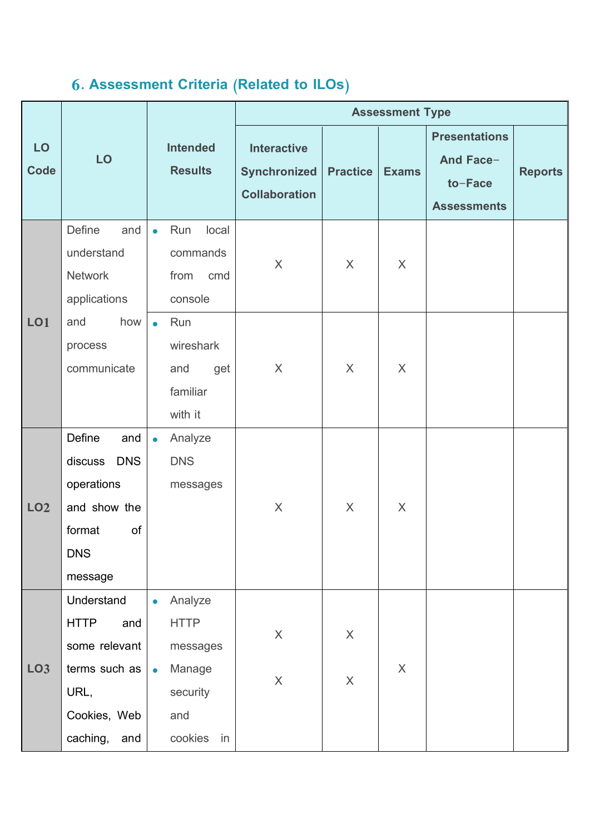# **6. Assessment Criteria (Related to ILOs)**

|                   |                                                                                                               |                                                                                                         | <b>Assessment Type</b>                                     |                                       |                           |                                                                    |                |  |
|-------------------|---------------------------------------------------------------------------------------------------------------|---------------------------------------------------------------------------------------------------------|------------------------------------------------------------|---------------------------------------|---------------------------|--------------------------------------------------------------------|----------------|--|
| LO<br><b>Code</b> | LO                                                                                                            | <b>Intended</b><br><b>Results</b>                                                                       | <b>Interactive</b><br>Synchronized<br><b>Collaboration</b> | <b>Practice</b>                       | <b>Exams</b>              | <b>Presentations</b><br>And Face-<br>to-Face<br><b>Assessments</b> | <b>Reports</b> |  |
|                   | <b>Define</b><br>and<br>understand<br><b>Network</b><br>applications                                          | Run<br>local<br>$\bullet$<br>commands<br>from<br>cmd<br>console                                         | $\sf X$                                                    | X                                     | X                         |                                                                    |                |  |
| <b>LO1</b>        | how<br>and<br>process<br>communicate                                                                          | Run<br>$\bullet$<br>wireshark<br>and<br>get<br>familiar<br>with it                                      | $\sf X$                                                    | X                                     | X                         |                                                                    |                |  |
| LO <sub>2</sub>   | Define<br>and<br><b>DNS</b><br>discuss<br>operations<br>and show the<br>format<br>of<br><b>DNS</b><br>message | Analyze<br>$\bullet$<br><b>DNS</b><br>messages                                                          | $\times$                                                   | $\sf X$                               | $\times$                  |                                                                    |                |  |
| LO <sub>3</sub>   | Understand<br><b>HTTP</b><br>and<br>some relevant<br>terms such as<br>URL,<br>Cookies, Web<br>caching, and    | Analyze<br>$\bullet$<br><b>HTTP</b><br>messages<br>Manage<br>$\bullet$<br>security<br>and<br>cookies in | $\mathsf X$<br>$\mathsf X$                                 | $\times$<br>$\boldsymbol{\mathsf{X}}$ | $\boldsymbol{\mathsf{X}}$ |                                                                    |                |  |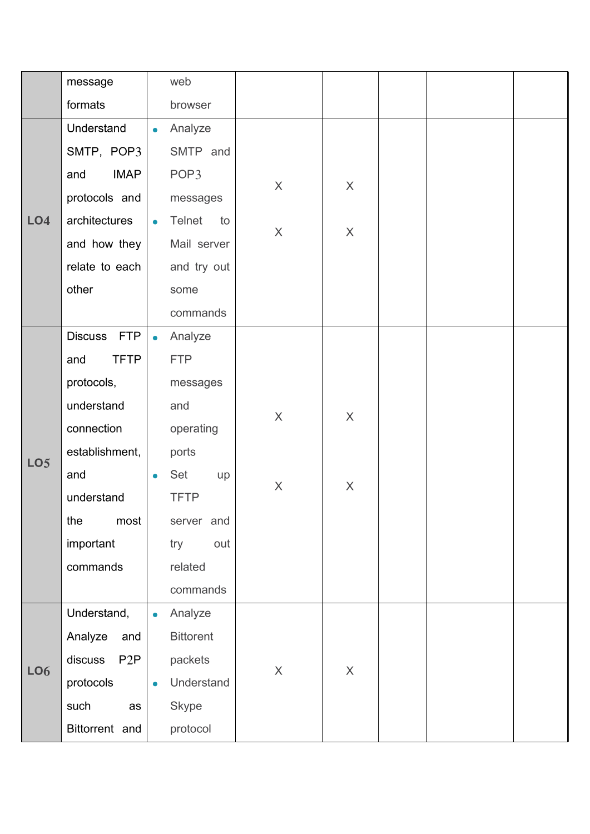|                 | message            |           | web                 |                           |          |  |  |
|-----------------|--------------------|-----------|---------------------|---------------------------|----------|--|--|
|                 | formats            |           | browser             |                           |          |  |  |
|                 | Understand         | $\bullet$ | Analyze             |                           |          |  |  |
|                 | SMTP, POP3         |           | SMTP and            |                           |          |  |  |
|                 | <b>IMAP</b><br>and |           | POP3                |                           | $\sf X$  |  |  |
|                 | protocols and      |           | messages            | $\mathsf{X}$              |          |  |  |
| LO <sub>4</sub> | architectures      | $\bullet$ | <b>Telnet</b><br>to |                           |          |  |  |
|                 | and how they       |           | Mail server         | $\mathsf{X}$              | $\times$ |  |  |
|                 | relate to each     |           | and try out         |                           |          |  |  |
|                 | other              |           | some                |                           |          |  |  |
|                 |                    |           | commands            |                           |          |  |  |
|                 | Discuss FTP        | $\bullet$ | Analyze             |                           |          |  |  |
|                 | <b>TFTP</b><br>and |           | <b>FTP</b>          |                           |          |  |  |
|                 | protocols,         |           | messages            |                           |          |  |  |
|                 | understand         |           | and                 |                           |          |  |  |
|                 | connection         |           | operating           | $\mathsf X$               | $\sf X$  |  |  |
|                 | establishment,     |           | ports               |                           |          |  |  |
| LO <sub>5</sub> | and                | $\bullet$ | Set<br>up           |                           |          |  |  |
|                 | understand         |           | <b>TFTP</b>         | $\mathsf X$               | $\times$ |  |  |
|                 | the<br>most        |           | server and          |                           |          |  |  |
|                 | important          |           | out<br>try          |                           |          |  |  |
|                 | commands           |           | related             |                           |          |  |  |
|                 |                    |           | commands            |                           |          |  |  |
|                 | Understand,        | $\bullet$ | Analyze             |                           |          |  |  |
|                 | Analyze<br>and     |           | <b>Bittorent</b>    |                           |          |  |  |
| <b>LO6</b>      | discuss<br>P2P     |           | packets             | $\boldsymbol{\mathsf{X}}$ | $\times$ |  |  |
|                 | protocols          | $\bullet$ | Understand          |                           |          |  |  |
|                 | such<br>as         |           | <b>Skype</b>        |                           |          |  |  |
|                 | Bittorrent and     |           | protocol            |                           |          |  |  |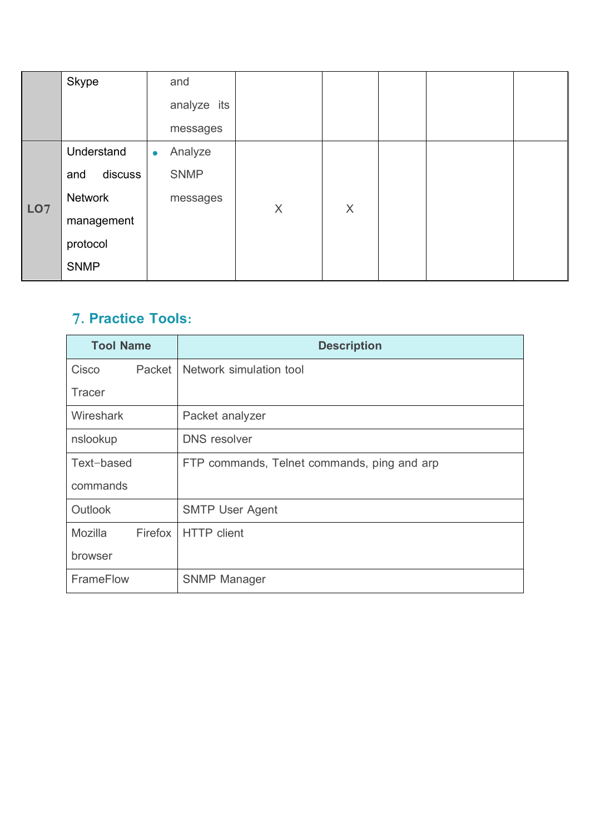|                 | <b>Skype</b>   | and                  |         |          |  |  |
|-----------------|----------------|----------------------|---------|----------|--|--|
|                 |                | analyze its          |         |          |  |  |
|                 |                | messages             |         |          |  |  |
|                 | Understand     | Analyze<br>$\bullet$ |         |          |  |  |
| LO <sub>7</sub> | discuss<br>and | <b>SNMP</b>          |         |          |  |  |
|                 | Network        | messages             | $\sf X$ | $\times$ |  |  |
|                 | management     |                      |         |          |  |  |
|                 | protocol       |                      |         |          |  |  |
|                 | <b>SNMP</b>    |                      |         |          |  |  |

## **7. Practice Tools:**

| <b>Tool Name</b>   | <b>Description</b>                          |
|--------------------|---------------------------------------------|
| Cisco<br>Packet    | Network simulation tool                     |
| <b>Tracer</b>      |                                             |
| Wireshark          | Packet analyzer                             |
| nslookup           | <b>DNS</b> resolver                         |
| Text-based         | FTP commands, Telnet commands, ping and arp |
| commands           |                                             |
| Outlook            | <b>SMTP User Agent</b>                      |
| Mozilla<br>Firefox | <b>HTTP</b> client                          |
| browser            |                                             |
| FrameFlow          | <b>SNMP Manager</b>                         |